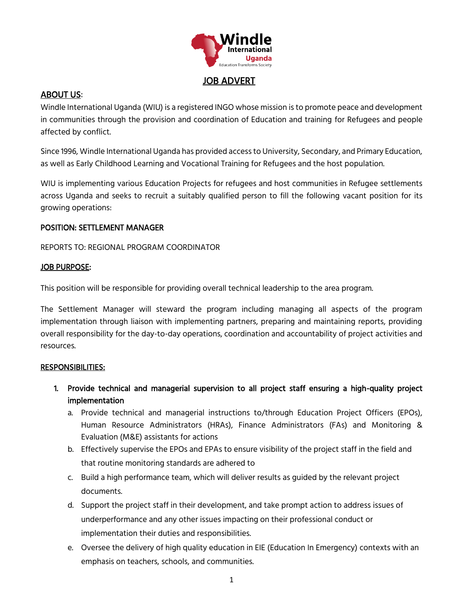

## JOB ADVERT

## ABOUT US:

Windle International Uganda (WIU) is a registered INGO whose mission is to promote peace and development in communities through the provision and coordination of Education and training for Refugees and people affected by conflict.

Since 1996, Windle International Uganda has provided access to University, Secondary, and Primary Education, as well as Early Childhood Learning and Vocational Training for Refugees and the host population.

WIU is implementing various Education Projects for refugees and host communities in Refugee settlements across Uganda and seeks to recruit a suitably qualified person to fill the following vacant position for its growing operations:

### POSITION: SETTLEMENT MANAGER

REPORTS TO: REGIONAL PROGRAM COORDINATOR

### JOB PURPOSE:

This position will be responsible for providing overall technical leadership to the area program.

The Settlement Manager will steward the program including managing all aspects of the program implementation through liaison with implementing partners, preparing and maintaining reports, providing overall responsibility for the day-to-day operations, coordination and accountability of project activities and resources.

#### RESPONSIBILITIES:

- 1. Provide technical and managerial supervision to all project staff ensuring a high-quality project implementation
	- a. Provide technical and managerial instructions to/through Education Project Officers (EPOs), Human Resource Administrators (HRAs), Finance Administrators (FAs) and Monitoring & Evaluation (M&E) assistants for actions
	- b. Effectively supervise the EPOs and EPAs to ensure visibility of the project staff in the field and that routine monitoring standards are adhered to
	- c. Build a high performance team, which will deliver results as guided by the relevant project documents.
	- d. Support the project staff in their development, and take prompt action to address issues of underperformance and any other issues impacting on their professional conduct or implementation their duties and responsibilities.
	- e. Oversee the delivery of high quality education in EIE (Education In Emergency) contexts with an emphasis on teachers, schools, and communities.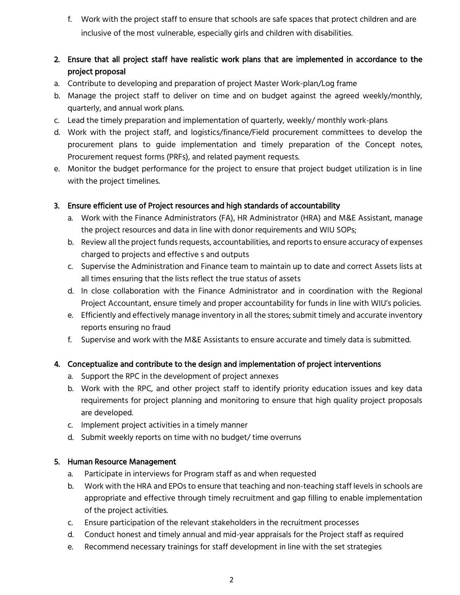f. Work with the project staff to ensure that schools are safe spaces that protect children and are inclusive of the most vulnerable, especially girls and children with disabilities.

# 2. Ensure that all project staff have realistic work plans that are implemented in accordance to the project proposal

- a. Contribute to developing and preparation of project Master Work-plan/Log frame
- b. Manage the project staff to deliver on time and on budget against the agreed weekly/monthly, quarterly, and annual work plans.
- c. Lead the timely preparation and implementation of quarterly, weekly/ monthly work-plans
- d. Work with the project staff, and logistics/finance/Field procurement committees to develop the procurement plans to guide implementation and timely preparation of the Concept notes, Procurement request forms (PRFs), and related payment requests.
- e. Monitor the budget performance for the project to ensure that project budget utilization is in line with the project timelines.

## 3. Ensure efficient use of Project resources and high standards of accountability

- a. Work with the Finance Administrators (FA), HR Administrator (HRA) and M&E Assistant, manage the project resources and data in line with donor requirements and WIU SOPs;
- b. Review all the project funds requests, accountabilities, and reports to ensure accuracy of expenses charged to projects and effective s and outputs
- c. Supervise the Administration and Finance team to maintain up to date and correct Assets lists at all times ensuring that the lists reflect the true status of assets
- d. In close collaboration with the Finance Administrator and in coordination with the Regional Project Accountant, ensure timely and proper accountability for funds in line with WIU's policies.
- e. Efficiently and effectively manage inventory in all the stores; submit timely and accurate inventory reports ensuring no fraud
- f. Supervise and work with the M&E Assistants to ensure accurate and timely data is submitted.

# 4. Conceptualize and contribute to the design and implementation of project interventions

- a. Support the RPC in the development of project annexes
- b. Work with the RPC, and other project staff to identify priority education issues and key data requirements for project planning and monitoring to ensure that high quality project proposals are developed.
- c. Implement project activities in a timely manner
- d. Submit weekly reports on time with no budget/ time overruns

### 5. Human Resource Management

- a. Participate in interviews for Program staff as and when requested
- b. Work with the HRA and EPOs to ensure that teaching and non-teaching staff levels in schools are appropriate and effective through timely recruitment and gap filling to enable implementation of the project activities.
- c. Ensure participation of the relevant stakeholders in the recruitment processes
- d. Conduct honest and timely annual and mid-year appraisals for the Project staff as required
- e. Recommend necessary trainings for staff development in line with the set strategies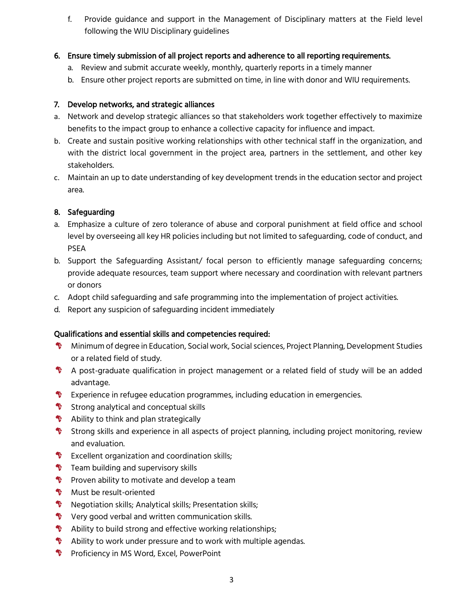f. Provide guidance and support in the Management of Disciplinary matters at the Field level following the WIU Disciplinary guidelines

### 6. Ensure timely submission of all project reports and adherence to all reporting requirements.

- a. Review and submit accurate weekly, monthly, quarterly reports in a timely manner
- b. Ensure other project reports are submitted on time, in line with donor and WIU requirements.

## 7. Develop networks, and strategic alliances

- a. Network and develop strategic alliances so that stakeholders work together effectively to maximize benefits to the impact group to enhance a collective capacity for influence and impact.
- b. Create and sustain positive working relationships with other technical staff in the organization, and with the district local government in the project area, partners in the settlement, and other key stakeholders.
- c. Maintain an up to date understanding of key development trends in the education sector and project area.

# 8. Safeguarding

- a. Emphasize a culture of zero tolerance of abuse and corporal punishment at field office and school level by overseeing all key HR policies including but not limited to safeguarding, code of conduct, and PSEA
- b. Support the Safeguarding Assistant/ focal person to efficiently manage safeguarding concerns; provide adequate resources, team support where necessary and coordination with relevant partners or donors
- c. Adopt child safeguarding and safe programming into the implementation of project activities.
- d. Report any suspicion of safeguarding incident immediately

# Qualifications and essential skills and competencies required:

- Minimum of degree in Education, Social work, Social sciences, Project Planning, Development Studies or a related field of study.
- A post-graduate qualification in project management or a related field of study will be an added advantage.
- **T** Experience in refugee education programmes, including education in emergencies.
- $\bullet$  Strong analytical and conceptual skills
- $\bullet$  Ability to think and plan strategically
- Strong skills and experience in all aspects of project planning, including project monitoring, review and evaluation.
- **V** Excellent organization and coordination skills;
- $\mathbf{\hat{V}}$  Team building and supervisory skills
- $\Psi$  Proven ability to motivate and develop a team
- **W** Must be result-oriented
- $\mathbf{\Phi}$ Negotiation skills; Analytical skills; Presentation skills;
- V Very good verbal and written communication skills.
- $\bullet$  Ability to build strong and effective working relationships;
- $\bullet$  Ability to work under pressure and to work with multiple agendas.
- **V** Proficiency in MS Word, Excel, PowerPoint